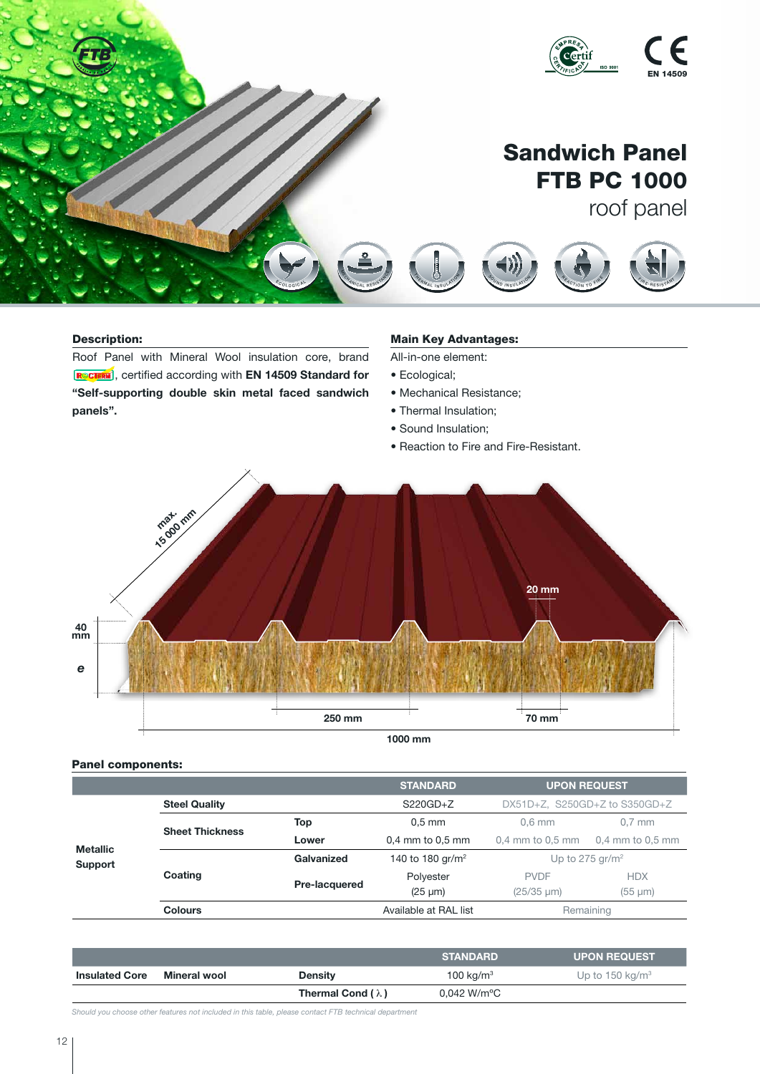

## Description:

Roof Panel with Mineral Wool insulation core, brand **RCTERN**, certified according with EN 14509 Standard for "Self-supporting double skin metal faced sandwich panels". S O U N D I O N D I O N<br>A C O U S O N D I O N SU LAT I O N

# **Main Key Advantages:**

All-in-one element:

- Ecological;
- Mechanical Resistance;
- Thermal Insulation;
- Sound Insulation;
- Reaction to Fire and Fire-Resistant.

 $\mathcal{F}$ <sup>R</sup> <sup>E</sup> <sup>S</sup> <sup>I</sup> <sup>S</sup> <sup>T</sup><sup>A</sup> <sup>N</sup> <sup>T</sup> D <sup>U</sup> <sup>R</sup> <sup>A</sup> <sup>B</sup> <sup>L</sup> <sup>E</sup>

D <sup>U</sup> <sup>R</sup><sup>A</sup> <sup>B</sup> <sup>L</sup> <sup>E</sup>



1000 mm

## Panel components:

|                                   |                        |               | <b>STANDARD</b>              | <b>UPON REQUEST</b>           |                  |
|-----------------------------------|------------------------|---------------|------------------------------|-------------------------------|------------------|
| <b>Metallic</b><br><b>Support</b> | <b>Steel Quality</b>   |               | $S220GD + Z$                 | DX51D+Z, S250GD+Z to S350GD+Z |                  |
|                                   | <b>Sheet Thickness</b> | Top           | $0.5$ mm                     | $0.6$ mm                      | $0.7$ mm         |
|                                   |                        | Lower         | $0.4$ mm to $0.5$ mm         | $0.4$ mm to $0.5$ mm          | 0,4 mm to 0,5 mm |
|                                   | Coating                | Galvanized    | 140 to 180 gr/m <sup>2</sup> | Up to 275 gr/m <sup>2</sup>   |                  |
|                                   |                        | Pre-lacquered | Polyester                    | <b>PVDF</b>                   | <b>HDX</b>       |
|                                   |                        |               | $(25 \mu m)$                 | $(25/35 \mu m)$               | $(55 \mu m)$     |
|                                   | <b>Colours</b>         |               | Available at RAL list        | Remaining                     |                  |

|                       |              |                          | <b>STANDARD</b>                                      | <b>UPON REQUEST</b> |
|-----------------------|--------------|--------------------------|------------------------------------------------------|---------------------|
| <b>Insulated Core</b> | Mineral wool | <b>Density</b>           | 100 kg/m <sup>3</sup><br>Up to 150 kg/m <sup>3</sup> |                     |
|                       |              | Thermal Cond $(\lambda)$ | $0.042$ W/m $^{\circ}$ C                             |                     |

*Should you choose other features not included in this table, please contact FTB technical department*